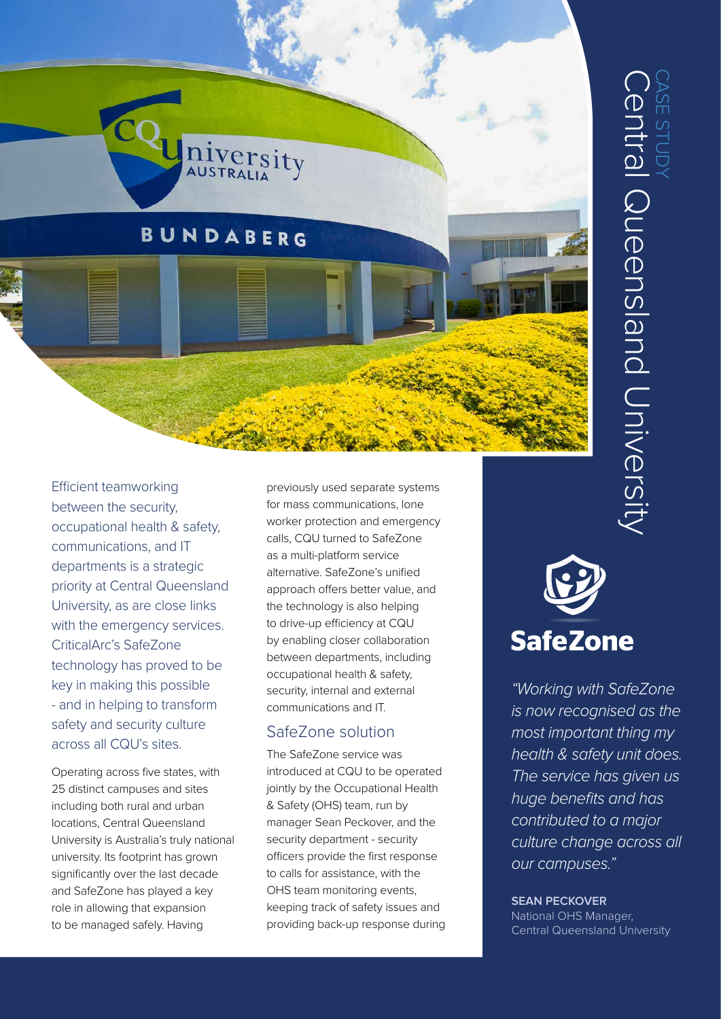

Efficient teamworking between the security, occupational health & safety, communications, and IT departments is a strategic priority at Central Queensland University, as are close links with the emergency services. CriticalArc's SafeZone technology has proved to be key in making this possible - and in helping to transform safety and security culture across all CQU's sites.

Operating across five states, with 25 distinct campuses and sites including both rural and urban locations, Central Queensland University is Australia's truly national university. Its footprint has grown significantly over the last decade and SafeZone has played a key role in allowing that expansion to be managed safely. Having

previously used separate systems for mass communications, lone worker protection and emergency calls, CQU turned to SafeZone as a multi-platform service alternative. SafeZone's unified approach offers better value, and the technology is also helping to drive-up efficiency at CQU by enabling closer collaboration between departments, including occupational health & safety, security, internal and external communications and IT.

#### SafeZone solution

The SafeZone service was introduced at CQU to be operated jointly by the Occupational Health & Safety (OHS) team, run by manager Sean Peckover, and the security department - security officers provide the first response to calls for assistance, with the OHS team monitoring events, keeping track of safety issues and providing back-up response during

# **SafeZone**

*"Working with SafeZone is now recognised as the most important thing my health & safety unit does. The service has given us huge benefits and has contributed to a major culture change across all our campuses."*

#### **SEAN PECKOVER**

National OHS Manager, Central Queensland University